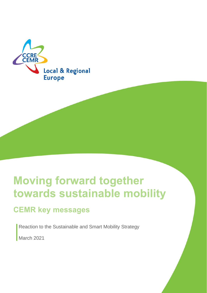

# **Moving forward together** towards sustainable mobility

## **CEMR key messages**

Reaction to the Sustainable and Smart Mobility Strategy March 2021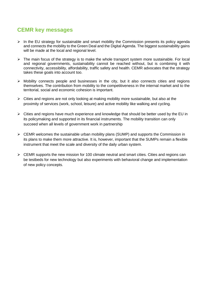### **CEMR key messages**

- $\triangleright$  In the EU strategy for sustainable and smart mobility the Commission presents its policy agenda and connects the mobility to the Green Deal and the Digital Agenda. The biggest sustainability gains will be made at the local and regional level.
- $\triangleright$  The main focus of the strategy is to make the whole transport system more sustainable. For local and regional governments, sustainability cannot be reached without, but is combining it with connectivity, accessibility, affordability, traffic safety and health. CEMR advocates that the strategy takes these goals into account too.
- ➢ Mobility connects people and businesses in the city, but it also connects cities and regions themselves. The contribution from mobility to the competitiveness in the internal market and to the territorial, social and economic cohesion is important.
- $\triangleright$  Cities and regions are not only looking at making mobility more sustainable, but also at the proximity of services (work, school, leisure) and active mobility like walking and cycling.
- $\triangleright$  Cities and regions have much experience and knowledge that should be better used by the EU in its policymaking and supported in its financial instruments. The mobility transition can only succeed when all levels of government work in partnership
- ➢ CEMR welcomes the sustainable urban mobility plans (SUMP) and supports the Commission in its plans to make them more attractive. It is, however, important that the SUMPs remain a flexible instrument that meet the scale and diversity of the daily urban system.
- $\triangleright$  CEMR supports the new mission for 100 climate neutral and smart cities. Cities and regions can be testbeds for new technology but also experiments with behavioral change and implementation of new policy concepts.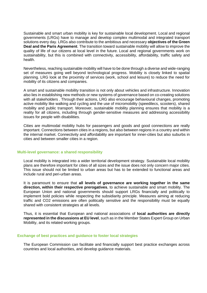Sustainable and smart urban mobility is key for sustainable local development. Local and regional governments (LRGs) have to manage and develop complex multimodal and integrated transport solutions every day. LRGs also contribute to the ambitious and necessary **objectives of the Green Deal and the Paris Agreement**. The transition toward sustainable mobility will allow to improve the quality of life of our citizens at local level in the future. Local and regional governments work on sustainability, but this is combined with connectivity, accessibility, affordability, traffic safety and health.

Nevertheless, reaching sustainable mobility will have to be done through a diverse and wide-ranging set of measures going well beyond technological progress. Mobility is closely linked to spatial planning. LRG look at the proximity of services (work, school and leisure) to reduce the need for mobility of its citizens and companies.

A smart and sustainable mobility transition is not only about vehicles and infrastructure. Innovation also lies in establishing new methods or new systems of governance based on co-creating solutions with all stakeholders . Through their actions, LRG also encourage behavioural changes, promoting active mobility like walking and cycling and the use of micromobility (speedilecs, scooters), shared mobility and public transport. Moreover, sustainable mobility planning ensures that mobility is a reality for all citizens, including through gender-sensitive measures and addressing accessibility issues for people with disabilities.

Cities are multimodal mobility hubs for passengers and goods and good connections are really important. Connections between cities in a regions, but also between regions in a country and within the internal market. Connectivity and affordability are important for inner-cities but also suburbs in cities and between smaller cities in a region.

#### **Multi-level governance: a shared responsibility**

Local mobility is integrated into a wider territorial development strategy. Sustainable local mobility plans are therefore important for cities of all sizes and the issue does not only concern major cities. This issue should not be limited to urban areas but has to be extended to functional areas and include rural and peri-urban areas.

It is paramount to ensure that **all levels of governance are working together in the same direction, within their respective prerogatives**, to achieve sustainable and smart mobility. The European Union and national governments should support LRGs financially and politically to implement bold policies while respecting the subsidiarity principle. Measures aiming at reducing traffic and CO2 emissions are often politically sensitive and the responsibility must be equally shared with consistent strategies at all levels.

Thus, it is essential that European and national associations of **local authorities are directly represented in the discussions at EU level**, such as in the Member States Expert Group on Urban Mobility, and its related working groups.

#### **Exchange of best practices and guidance to foster local strategies**

The European Commission can facilitate and financially support best practice exchanges across countries and local authorities, and develop guidance materials.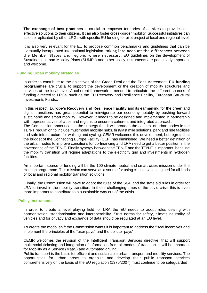**The exchange of best practices** is crucial to empower territories of all sizes to provide costeffective solutions to their citizens. It can also foster cross-border mobility. Successful initiatives can also be replicated by other LRGs with specific EU funding for pilot project at local and regional level.

It is also very relevant for the EU to propose common benchmarks and guidelines that can be eventually incorporated into national legislation, taking into account the differences between the Member States and regions where necessary. EU guidelines on the development of Sustainable Urban Mobility Plans (SUMPs) and other policy instruments are particularly important and welcome.

#### **Funding urban mobility strategies**

In order to contribute to the objectives of the Green Deal and the Paris Agreement, **EU funding programmes** are crucial to support the development or the creation of mobility structures and services at the local level. A coherent framework is needed to articulate the different sources of funding directed to LRGs, such as the EU Recovery and Resilience Facility, European Structural Investments Funds,.

In this respect, **Europe's Recovery and Resilience Facility** and its earmarking for the green and digital transitions has great potential to reinvigorate our economy notably by pushing forward sustainable and smart mobility. However, it needs to be designed and implemented in partnership with representatives of cities and regions to ensure a coherent and integrated approach.

The Commission announces in the strategy that it will broaden the concept of urban nodes in the TEN-T regulation to include multimodal mobility hubs, first/last mile solutions, park and ride facilities and safe infrastructure for walking and cycling. CEMR welcomes this development, but regrets that the budget of the Connecting Europe Facility (CEF) has diminished. We need a better definition of the urban nodes to improve conditions for co-financing and LRA need to get a better position in the governance of the TEN-T. Finally synergy between the TEN-T and the TEN-E is important, because the mobility transition will require adaptations to the electricity grid and investments in hydrogen facilities.

An important source of funding will be the 100 climate neutral and smart cities mission under the Horizon programme. This mission can serve as a source for using cities as a testing bed for all kinds of local and regional mobility transition solutions.

Finally, the Commission will have to adapt the rules of the SGP and the state aid rules in order for LRA to invest in the mobility transition. In these challenging times of the covid crisis this is even more important to contribute to a sustainable way out of the crisis.

#### **Policy instruments**

In order to create a level playing field for LRA the EU needs to adopt rules dealing with harmonisation, standardisation and interoperability. Strict norms for safety, climate neutrality of vehicles and for privacy and exchange of data should be regulated at an EU level.

To create the modal shift the Commission wants it is important to address the fiscal incentives and implement the principles of the "user pays" and the polluter pays".

CEMR welcomes the revision of the Intelligent Transport Services directive, that will support multimodal ticketing and integration of information from all modes of transport. It will be important for Mobility as a Service (MaaS) and automated driving.

Public transport is the basis for efficient and sustainable urban transport and mobility services. The opportunities for urban areas to organize and develop their public transport services comprehensively on the basis of the EU regulation (1370/2007) must continue to be safeguarded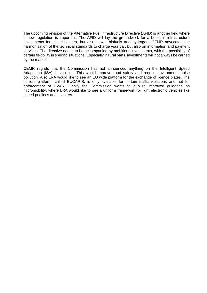The upcoming revision of the Alternative Fuel Infrastructure Directive (AFID) is another field where a new regulation is important. The AFID will lay the groundwork for a boost in infrastructure investments for electrical cars, but also newer biofuels and hydrogen. CEMR advocates the harmonisation of the technical standards to charge your car, but also on information and payment services. The directive needs to be accompanied by ambitious investments, with the possibility of certain flexibility in specific situations. Especially in rural parts, investments will not always be carried by the market.

CEMR regrets that the Commission has not announced anything on the Intelligent Speed Adaptation (ISA) in vehicles. This would improve road safety and reduce environment noise pollution. Also LRA would like to see an EU wide platform for the exchange of licence plates. The current platform, called EUCARIS, is only available for certain traffic violations and not for enforcement of UVAR. Finally the Commission wants to publish improved guidance on micromobility, where LRA would like to see a uniform framework for light electronic vehicles like speed pedilecs and scooters.